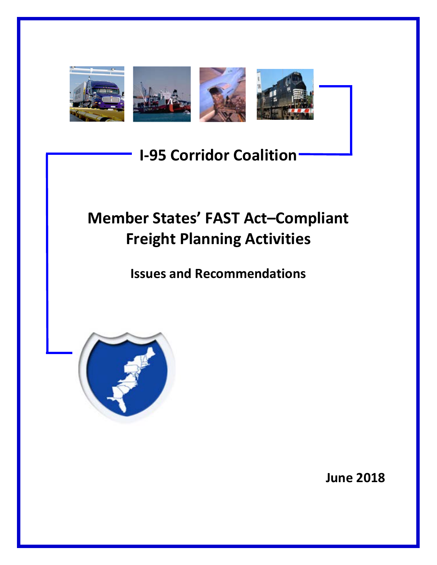

# **I-95 Corridor Coalition**

# **Member States' FAST Act–Compliant Freight Planning Activities**

**Issues and Recommendations**



**June 2018**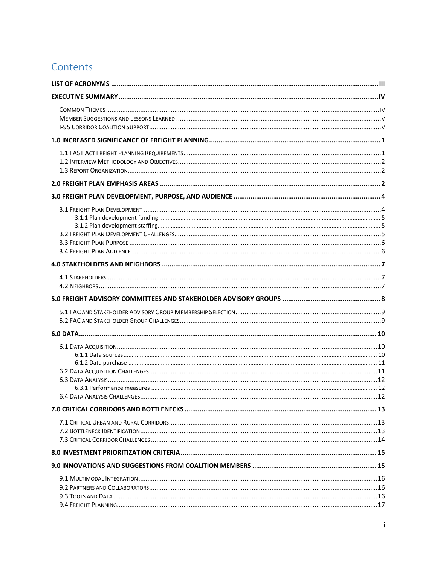### Contents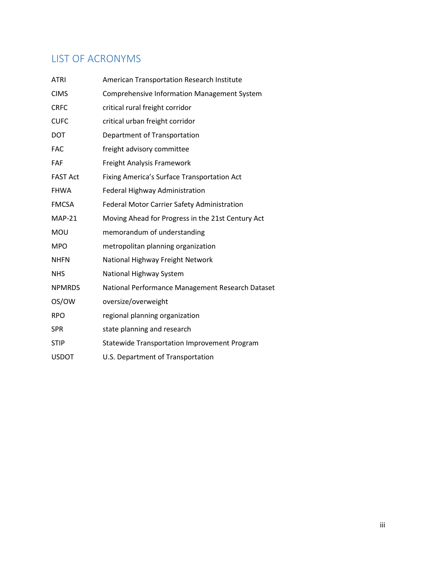# <span id="page-3-0"></span>LIST OF ACRONYMS

| <b>ATRI</b>     | American Transportation Research Institute         |
|-----------------|----------------------------------------------------|
| <b>CIMS</b>     | <b>Comprehensive Information Management System</b> |
| <b>CRFC</b>     | critical rural freight corridor                    |
| <b>CUFC</b>     | critical urban freight corridor                    |
| <b>DOT</b>      | Department of Transportation                       |
| <b>FAC</b>      | freight advisory committee                         |
| FAF             | Freight Analysis Framework                         |
| <b>FAST Act</b> | Fixing America's Surface Transportation Act        |
| <b>FHWA</b>     | <b>Federal Highway Administration</b>              |
| <b>FMCSA</b>    | Federal Motor Carrier Safety Administration        |
| <b>MAP-21</b>   | Moving Ahead for Progress in the 21st Century Act  |
| MOU             | memorandum of understanding                        |
| <b>MPO</b>      | metropolitan planning organization                 |
| <b>NHFN</b>     | National Highway Freight Network                   |
| <b>NHS</b>      | National Highway System                            |
| <b>NPMRDS</b>   | National Performance Management Research Dataset   |
| OS/OW           | oversize/overweight                                |
| <b>RPO</b>      | regional planning organization                     |
| SPR             | state planning and research                        |
| <b>STIP</b>     | Statewide Transportation Improvement Program       |
| <b>USDOT</b>    | U.S. Department of Transportation                  |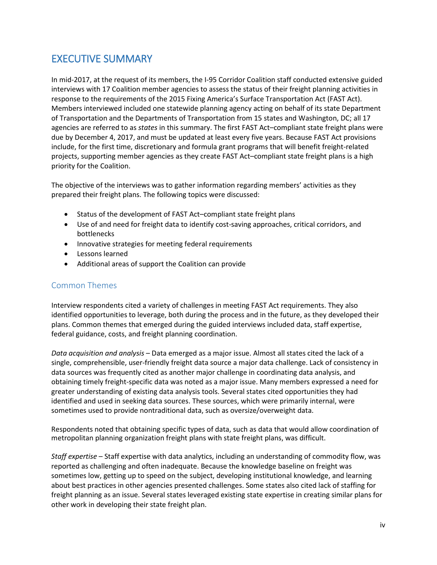# <span id="page-4-0"></span>EXECUTIVE SUMMARY

In mid-2017, at the request of its members, the I-95 Corridor Coalition staff conducted extensive guided interviews with 17 Coalition member agencies to assess the status of their freight planning activities in response to the requirements of the 2015 Fixing America's Surface Transportation Act (FAST Act). Members interviewed included one statewide planning agency acting on behalf of its state Department of Transportation and the Departments of Transportation from 15 states and Washington, DC; all 17 agencies are referred to as *states* in this summary. The first FAST Act–compliant state freight plans were due by December 4, 2017, and must be updated at least every five years. Because FAST Act provisions include, for the first time, discretionary and formula grant programs that will benefit freight-related projects, supporting member agencies as they create FAST Act–compliant state freight plans is a high priority for the Coalition.

The objective of the interviews was to gather information regarding members' activities as they prepared their freight plans. The following topics were discussed:

- Status of the development of FAST Act–compliant state freight plans
- Use of and need for freight data to identify cost-saving approaches, critical corridors, and bottlenecks
- Innovative strategies for meeting federal requirements
- Lessons learned
- Additional areas of support the Coalition can provide

### <span id="page-4-1"></span>Common Themes

Interview respondents cited a variety of challenges in meeting FAST Act requirements. They also identified opportunities to leverage, both during the process and in the future, as they developed their plans. Common themes that emerged during the guided interviews included data, staff expertise, federal guidance, costs, and freight planning coordination.

*Data acquisition and analysis* – Data emerged as a major issue. Almost all states cited the lack of a single, comprehensible, user-friendly freight data source a major data challenge. Lack of consistency in data sources was frequently cited as another major challenge in coordinating data analysis, and obtaining timely freight-specific data was noted as a major issue. Many members expressed a need for greater understanding of existing data analysis tools. Several states cited opportunities they had identified and used in seeking data sources. These sources, which were primarily internal, were sometimes used to provide nontraditional data, such as oversize/overweight data.

Respondents noted that obtaining specific types of data, such as data that would allow coordination of metropolitan planning organization freight plans with state freight plans, was difficult.

*Staff expertise* – Staff expertise with data analytics, including an understanding of commodity flow, was reported as challenging and often inadequate. Because the knowledge baseline on freight was sometimes low, getting up to speed on the subject, developing institutional knowledge, and learning about best practices in other agencies presented challenges. Some states also cited lack of staffing for freight planning as an issue. Several states leveraged existing state expertise in creating similar plans for other work in developing their state freight plan.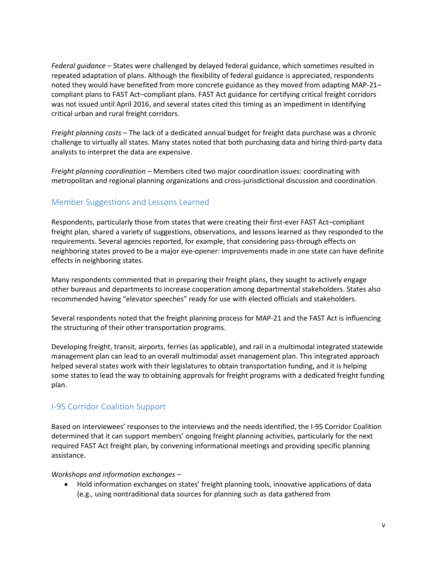*Federal guidance* – States were challenged by delayed federal guidance, which sometimes resulted in repeated adaptation of plans. Although the flexibility of federal guidance is appreciated, respondents noted they would have benefited from more concrete guidance as they moved from adapting MAP-21– compliant plans to FAST Act–compliant plans. FAST Act guidance for certifying critical freight corridors was not issued until April 2016, and several states cited this timing as an impediment in identifying critical urban and rural freight corridors.

*Freight planning costs* – The lack of a dedicated annual budget for freight data purchase was a chronic challenge to virtually all states. Many states noted that both purchasing data and hiring third-party data analysts to interpret the data are expensive.

*Freight planning coordination* – Members cited two major coordination issues: coordinating with metropolitan and regional planning organizations and cross-jurisdictional discussion and coordination.

### <span id="page-5-0"></span>Member Suggestions and Lessons Learned

Respondents, particularly those from states that were creating their first-ever FAST Act–compliant freight plan, shared a variety of suggestions, observations, and lessons learned as they responded to the requirements. Several agencies reported, for example, that considering pass-through effects on neighboring states proved to be a major eye-opener: improvements made in one state can have definite effects in neighboring states.

Many respondents commented that in preparing their freight plans, they sought to actively engage other bureaus and departments to increase cooperation among departmental stakeholders. States also recommended having "elevator speeches" ready for use with elected officials and stakeholders.

Several respondents noted that the freight planning process for MAP-21 and the FAST Act is influencing the structuring of their other transportation programs.

Developing freight, transit, airports, ferries (as applicable), and rail in a multimodal integrated statewide management plan can lead to an overall multimodal asset management plan. This integrated approach helped several states work with their legislatures to obtain transportation funding, and it is helping some states to lead the way to obtaining approvals for freight programs with a dedicated freight funding plan.

### <span id="page-5-1"></span>I-95 Corridor Coalition Support

Based on interviewees' responses to the interviews and the needs identified, the I-95 Corridor Coalition determined that it can support members' ongoing freight planning activities, particularly for the next required FAST Act freight plan, by convening informational meetings and providing specific planning assistance.

#### *Workshops and information exchanges* –

• Hold information exchanges on states' freight planning tools, innovative applications of data (e.g., using nontraditional data sources for planning such as data gathered from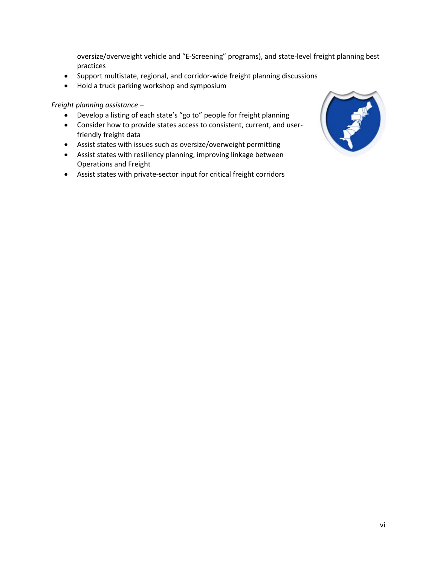oversize/overweight vehicle and "E-Screening" programs), and state-level freight planning best practices

- Support multistate, regional, and corridor-wide freight planning discussions
- Hold a truck parking workshop and symposium

*Freight planning assistance* –

- Develop a listing of each state's "go to" people for freight planning
- Consider how to provide states access to consistent, current, and userfriendly freight data
- Assist states with issues such as oversize/overweight permitting
- Assist states with resiliency planning, improving linkage between Operations and Freight
- Assist states with private-sector input for critical freight corridors

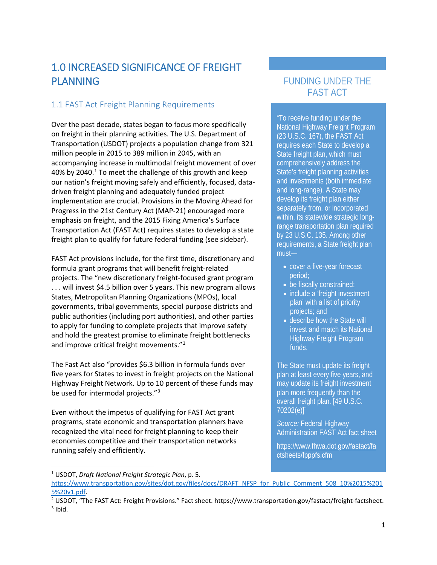# <span id="page-7-0"></span>1.0 INCREASED SIGNIFICANCE OF FREIGHT PLANNING

### <span id="page-7-1"></span>1.1 FAST Act Freight Planning Requirements

Over the past decade, states began to focus more specifically on freight in their planning activities. The U.S. Department of Transportation (USDOT) projects a population change from 321 million people in 2015 to 389 million in 2045, with an accompanying increase in multimodal freight movement of over 40% by 2040. $1$  To meet the challenge of this growth and keep our nation's freight moving safely and efficiently, focused, datadriven freight planning and adequately funded project implementation are crucial. Provisions in the Moving Ahead for Progress in the 21st Century Act (MAP-21) encouraged more emphasis on freight, and the 2015 Fixing America's Surface Transportation Act (FAST Act) requires states to develop a state freight plan to qualify for future federal funding (see sidebar).

FAST Act provisions include, for the first time, discretionary and formula grant programs that will benefit freight-related projects. The "new discretionary freight-focused grant program . . . will invest \$4.5 billion over 5 years. This new program allows States, Metropolitan Planning Organizations (MPOs), local governments, tribal governments, special purpose districts and public authorities (including port authorities), and other parties to apply for funding to complete projects that improve safety and hold the greatest promise to eliminate freight bottlenecks and improve critical freight movements."[2](#page-7-3)

The Fast Act also "provides \$6.3 billion in formula funds over five years for States to invest in freight projects on the National Highway Freight Network. Up to 10 percent of these funds may be used for intermodal projects."<sup>[3](#page-7-4)</sup>

Even without the impetus of qualifying for FAST Act grant programs, state economic and transportation planners have recognized the vital need for freight planning to keep their economies competitive and their transportation networks running safely and efficiently.

#### <span id="page-7-2"></span>1 USDOT, *Draft National Freight Strategic Plan*, p. 5.

### FUNDING UNDER THE FAST ACT

"To receive funding under the National Highway Freight Program (23 U.S.C. 167), the FAST Act requires each State to develop a State freight plan, which must comprehensively address the State's freight planning activities and investments (both immediate and long-range). A State may develop its freight plan either separately from, or incorporated within, its statewide strategic longrange transportation plan required by 23 U.S.C. 135. Among other requirements, a State freight plan must—

- cover a five-year forecast period;
- be fiscally constrained;
- include a 'freight investment plan' with a list of priority projects; and
- describe how the State will invest and match its National **Highway Freight Program** funds.

The State must update its freight plan at least every five years, and may update its freight investment plan more frequently than the overall freight plan. [49 U.S.C. 70202(e)]"

*Source:* Federal Highway Administration FAST Act fact sheet

[https://www.fhwa.dot.gov/fastact/fa](https://www.fhwa.dot.gov/fastact/factsheets/fpppfs.cfm) [ctsheets/fpppfs.cfm](https://www.fhwa.dot.gov/fastact/factsheets/fpppfs.cfm)

[https://www.transportation.gov/sites/dot.gov/files/docs/DRAFT\\_NFSP\\_for\\_Public\\_Comment\\_508\\_10%2015%201](https://www.transportation.gov/sites/dot.gov/files/docs/DRAFT_NFSP_for_Public_Comment_508_10%2015%2015%20v1.pdf) [5%20v1.pdf.](https://www.transportation.gov/sites/dot.gov/files/docs/DRAFT_NFSP_for_Public_Comment_508_10%2015%2015%20v1.pdf)

<span id="page-7-4"></span><span id="page-7-3"></span><sup>&</sup>lt;sup>2</sup> USDOT, "The FAST Act: Freight Provisions." Fact sheet. https://www.transportation.gov/fastact/freight-factsheet.  $3$  Ibid.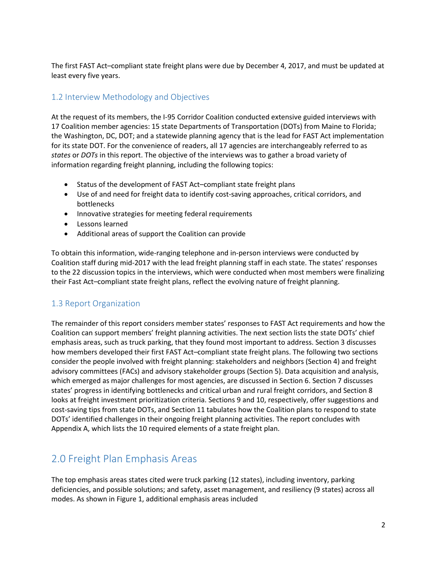The first FAST Act–compliant state freight plans were due by December 4, 2017, and must be updated at least every five years.

### <span id="page-8-0"></span>1.2 Interview Methodology and Objectives

At the request of its members, the I-95 Corridor Coalition conducted extensive guided interviews with 17 Coalition member agencies: 15 state Departments of Transportation (DOTs) from Maine to Florida; the Washington, DC, DOT; and a statewide planning agency that is the lead for FAST Act implementation for its state DOT. For the convenience of readers, all 17 agencies are interchangeably referred to as *states* or *DOTs* in this report. The objective of the interviews was to gather a broad variety of information regarding freight planning, including the following topics:

- Status of the development of FAST Act–compliant state freight plans
- Use of and need for freight data to identify cost-saving approaches, critical corridors, and bottlenecks
- Innovative strategies for meeting federal requirements
- Lessons learned
- Additional areas of support the Coalition can provide

To obtain this information, wide-ranging telephone and in-person interviews were conducted by Coalition staff during mid-2017 with the lead freight planning staff in each state. The states' responses to the 22 discussion topics in the interviews, which were conducted when most members were finalizing their Fast Act–compliant state freight plans, reflect the evolving nature of freight planning.

### <span id="page-8-1"></span>1.3 Report Organization

The remainder of this report considers member states' responses to FAST Act requirements and how the Coalition can support members' freight planning activities. The next section lists the state DOTs' chief emphasis areas, such as truck parking, that they found most important to address. Section 3 discusses how members developed their first FAST Act–compliant state freight plans. The following two sections consider the people involved with freight planning: stakeholders and neighbors (Section 4) and freight advisory committees (FACs) and advisory stakeholder groups (Section 5). Data acquisition and analysis, which emerged as major challenges for most agencies, are discussed in Section 6. Section 7 discusses states' progress in identifying bottlenecks and critical urban and rural freight corridors, and Section 8 looks at freight investment prioritization criteria. Sections 9 and 10, respectively, offer suggestions and cost-saving tips from state DOTs, and Section 11 tabulates how the Coalition plans to respond to state DOTs' identified challenges in their ongoing freight planning activities. The report concludes with Appendix A, which lists the 10 required elements of a state freight plan.

### <span id="page-8-2"></span>2.0 Freight Plan Emphasis Areas

The top emphasis areas states cited were truck parking (12 states), including inventory, parking deficiencies, and possible solutions; and safety, asset management, and resiliency (9 states) across all modes. As shown in Figure 1, additional emphasis areas included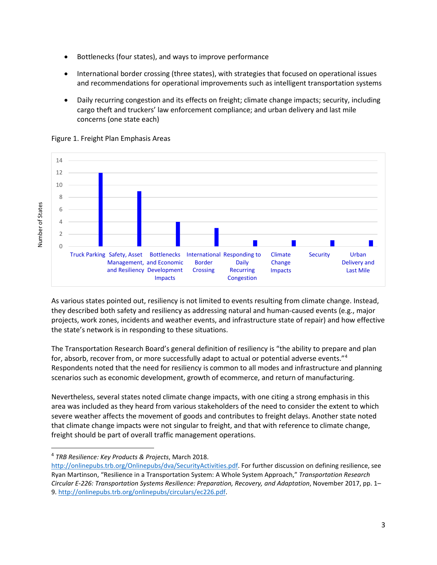- Bottlenecks (four states), and ways to improve performance
- International border crossing (three states), with strategies that focused on operational issues and recommendations for operational improvements such as intelligent transportation systems
- Daily recurring congestion and its effects on freight; climate change impacts; security, including cargo theft and truckers' law enforcement compliance; and urban delivery and last mile concerns (one state each)



#### Figure 1. Freight Plan Emphasis Areas

As various states pointed out, resiliency is not limited to events resulting from climate change. Instead, they described both safety and resiliency as addressing natural and human-caused events (e.g., major projects, work zones, incidents and weather events, and infrastructure state of repair) and how effective the state's network is in responding to these situations.

The Transportation Research Board's general definition of resiliency is "the ability to prepare and plan for, absorb, recover from, or more successfully adapt to actual or potential adverse events.["4](#page-9-0) Respondents noted that the need for resiliency is common to all modes and infrastructure and planning scenarios such as economic development, growth of ecommerce, and return of manufacturing.

Nevertheless, several states noted climate change impacts, with one citing a strong emphasis in this area was included as they heard from various stakeholders of the need to consider the extent to which severe weather affects the movement of goods and contributes to freight delays. Another state noted that climate change impacts were not singular to freight, and that with reference to climate change, freight should be part of overall traffic management operations.

<span id="page-9-0"></span> <sup>4</sup> *TRB Resilience: Key Products & Projects*, March 2018.

[http://onlinepubs.trb.org/Onlinepubs/dva/SecurityActivities.pdf.](http://onlinepubs.trb.org/Onlinepubs/dva/SecurityActivities.pdf) For further discussion on defining resilience, see Ryan Martinson, "Resilience in a Transportation System: A Whole System Approach," *Transportation Research Circular E-226: Transportation Systems Resilience: Preparation, Recovery, and Adaptation*, November 2017, pp. 1– 9. [http://onlinepubs.trb.org/onlinepubs/circulars/ec226.pdf.](http://onlinepubs.trb.org/onlinepubs/circulars/ec226.pdf)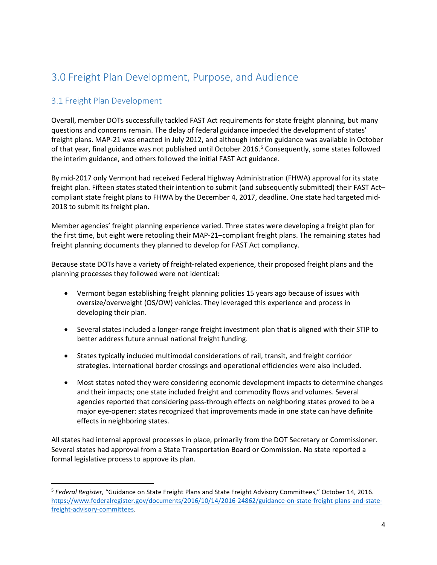# <span id="page-10-0"></span>3.0 Freight Plan Development, Purpose, and Audience

### <span id="page-10-1"></span>3.1 Freight Plan Development

Overall, member DOTs successfully tackled FAST Act requirements for state freight planning, but many questions and concerns remain. The delay of federal guidance impeded the development of states' freight plans. MAP-21 was enacted in July 2012, and although interim guidance was available in October of that year, final guidance was not published until October 2016.<sup>5</sup> Consequently, some states followed the interim guidance, and others followed the initial FAST Act guidance.

By mid-2017 only Vermont had received Federal Highway Administration (FHWA) approval for its state freight plan. Fifteen states stated their intention to submit (and subsequently submitted) their FAST Act– compliant state freight plans to FHWA by the December 4, 2017, deadline. One state had targeted mid-2018 to submit its freight plan.

Member agencies' freight planning experience varied. Three states were developing a freight plan for the first time, but eight were retooling their MAP-21–compliant freight plans. The remaining states had freight planning documents they planned to develop for FAST Act compliancy.

Because state DOTs have a variety of freight-related experience, their proposed freight plans and the planning processes they followed were not identical:

- Vermont began establishing freight planning policies 15 years ago because of issues with oversize/overweight (OS/OW) vehicles. They leveraged this experience and process in developing their plan.
- Several states included a longer-range freight investment plan that is aligned with their STIP to better address future annual national freight funding.
- States typically included multimodal considerations of rail, transit, and freight corridor strategies. International border crossings and operational efficiencies were also included.
- Most states noted they were considering economic development impacts to determine changes and their impacts; one state included freight and commodity flows and volumes. Several agencies reported that considering pass-through effects on neighboring states proved to be a major eye-opener: states recognized that improvements made in one state can have definite effects in neighboring states.

All states had internal approval processes in place, primarily from the DOT Secretary or Commissioner. Several states had approval from a State Transportation Board or Commission. No state reported a formal legislative process to approve its plan.

<span id="page-10-2"></span> <sup>5</sup> *Federal Register*, "Guidance on State Freight Plans and State Freight Advisory Committees," October 14, 2016. [https://www.federalregister.gov/documents/2016/10/14/2016-24862/guidance-on-state-freight-plans-and-state](https://www.federalregister.gov/documents/2016/10/14/2016-24862/guidance-on-state-freight-plans-and-state-freight-advisory-committees)[freight-advisory-committees.](https://www.federalregister.gov/documents/2016/10/14/2016-24862/guidance-on-state-freight-plans-and-state-freight-advisory-committees)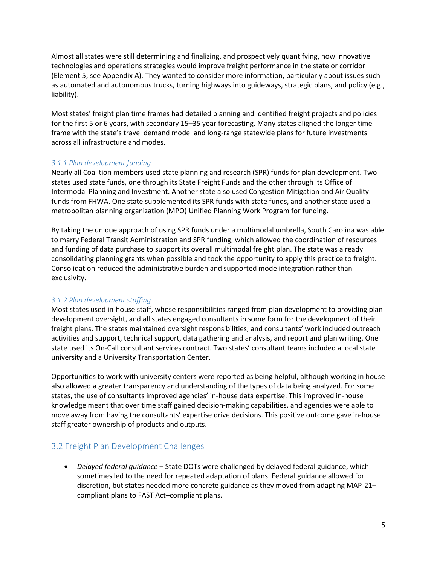Almost all states were still determining and finalizing, and prospectively quantifying, how innovative technologies and operations strategies would improve freight performance in the state or corridor (Element 5; see Appendix A). They wanted to consider more information, particularly about issues such as automated and autonomous trucks, turning highways into guideways, strategic plans, and policy (e.g., liability).

Most states' freight plan time frames had detailed planning and identified freight projects and policies for the first 5 or 6 years, with secondary 15–35 year forecasting. Many states aligned the longer time frame with the state's travel demand model and long-range statewide plans for future investments across all infrastructure and modes.

### <span id="page-11-0"></span>*3.1.1 Plan development funding*

Nearly all Coalition members used state planning and research (SPR) funds for plan development. Two states used state funds, one through its State Freight Funds and the other through its Office of Intermodal Planning and Investment. Another state also used Congestion Mitigation and Air Quality funds from FHWA. One state supplemented its SPR funds with state funds, and another state used a metropolitan planning organization (MPO) Unified Planning Work Program for funding.

By taking the unique approach of using SPR funds under a multimodal umbrella, South Carolina was able to marry Federal Transit Administration and SPR funding, which allowed the coordination of resources and funding of data purchase to support its overall multimodal freight plan. The state was already consolidating planning grants when possible and took the opportunity to apply this practice to freight. Consolidation reduced the administrative burden and supported mode integration rather than exclusivity.

#### <span id="page-11-1"></span>*3.1.2 Plan development staffing*

Most states used in-house staff, whose responsibilities ranged from plan development to providing plan development oversight, and all states engaged consultants in some form for the development of their freight plans. The states maintained oversight responsibilities, and consultants' work included outreach activities and support, technical support, data gathering and analysis, and report and plan writing. One state used its On-Call consultant services contract. Two states' consultant teams included a local state university and a University Transportation Center.

Opportunities to work with university centers were reported as being helpful, although working in house also allowed a greater transparency and understanding of the types of data being analyzed. For some states, the use of consultants improved agencies' in-house data expertise. This improved in-house knowledge meant that over time staff gained decision-making capabilities, and agencies were able to move away from having the consultants' expertise drive decisions. This positive outcome gave in-house staff greater ownership of products and outputs.

### <span id="page-11-2"></span>3.2 Freight Plan Development Challenges

• *Delayed federal guidance* – State DOTs were challenged by delayed federal guidance, which sometimes led to the need for repeated adaptation of plans. Federal guidance allowed for discretion, but states needed more concrete guidance as they moved from adapting MAP-21– compliant plans to FAST Act–compliant plans.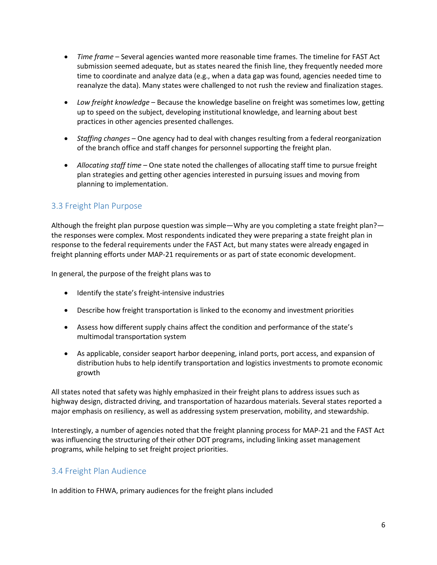- *Time frame* Several agencies wanted more reasonable time frames. The timeline for FAST Act submission seemed adequate, but as states neared the finish line, they frequently needed more time to coordinate and analyze data (e.g., when a data gap was found, agencies needed time to reanalyze the data). Many states were challenged to not rush the review and finalization stages.
- *Low freight knowledge* Because the knowledge baseline on freight was sometimes low, getting up to speed on the subject, developing institutional knowledge, and learning about best practices in other agencies presented challenges.
- *Staffing changes* One agency had to deal with changes resulting from a federal reorganization of the branch office and staff changes for personnel supporting the freight plan.
- *Allocating staff time* One state noted the challenges of allocating staff time to pursue freight plan strategies and getting other agencies interested in pursuing issues and moving from planning to implementation.

### <span id="page-12-0"></span>3.3 Freight Plan Purpose

Although the freight plan purpose question was simple—Why are you completing a state freight plan? the responses were complex. Most respondents indicated they were preparing a state freight plan in response to the federal requirements under the FAST Act, but many states were already engaged in freight planning efforts under MAP-21 requirements or as part of state economic development.

In general, the purpose of the freight plans was to

- Identify the state's freight-intensive industries
- Describe how freight transportation is linked to the economy and investment priorities
- Assess how different supply chains affect the condition and performance of the state's multimodal transportation system
- As applicable, consider seaport harbor deepening, inland ports, port access, and expansion of distribution hubs to help identify transportation and logistics investments to promote economic growth

All states noted that safety was highly emphasized in their freight plans to address issues such as highway design, distracted driving, and transportation of hazardous materials. Several states reported a major emphasis on resiliency, as well as addressing system preservation, mobility, and stewardship.

Interestingly, a number of agencies noted that the freight planning process for MAP-21 and the FAST Act was influencing the structuring of their other DOT programs, including linking asset management programs, while helping to set freight project priorities.

### <span id="page-12-1"></span>3.4 Freight Plan Audience

In addition to FHWA, primary audiences for the freight plans included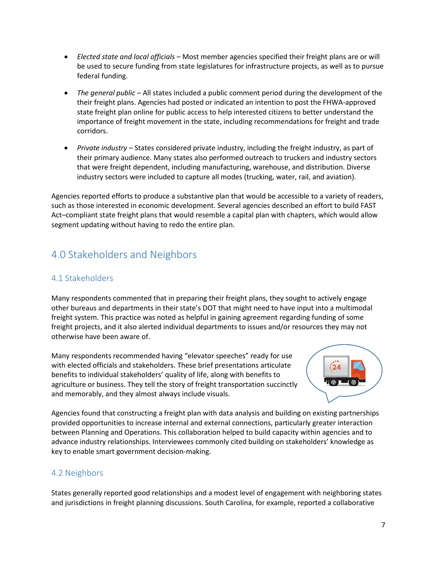- *Elected state and local officials* Most member agencies specified their freight plans are or will be used to secure funding from state legislatures for infrastructure projects, as well as to pursue federal funding.
- *The general public* All states included a public comment period during the development of the their freight plans. Agencies had posted or indicated an intention to post the FHWA-approved state freight plan online for public access to help interested citizens to better understand the importance of freight movement in the state, including recommendations for freight and trade corridors.
- *Private industry* States considered private industry, including the freight industry, as part of their primary audience. Many states also performed outreach to truckers and industry sectors that were freight dependent, including manufacturing, warehouse, and distribution. Diverse industry sectors were included to capture all modes (trucking, water, rail, and aviation).

Agencies reported efforts to produce a substantive plan that would be accessible to a variety of readers, such as those interested in economic development. Several agencies described an effort to build FAST Act–compliant state freight plans that would resemble a capital plan with chapters, which would allow segment updating without having to redo the entire plan.

# <span id="page-13-0"></span>4.0 Stakeholders and Neighbors

### <span id="page-13-1"></span>4.1 Stakeholders

Many respondents commented that in preparing their freight plans, they sought to actively engage other bureaus and departments in their state's DOT that might need to have input into a multimodal freight system. This practice was noted as helpful in gaining agreement regarding funding of some freight projects, and it also alerted individual departments to issues and/or resources they may not otherwise have been aware of.

Many respondents recommended having "elevator speeches" ready for use with elected officials and stakeholders. These brief presentations articulate benefits to individual stakeholders' quality of life, along with benefits to agriculture or business. They tell the story of freight transportation succinctly and memorably, and they almost always include visuals.



Agencies found that constructing a freight plan with data analysis and building on existing partnerships provided opportunities to increase internal and external connections, particularly greater interaction between Planning and Operations. This collaboration helped to build capacity within agencies and to advance industry relationships. Interviewees commonly cited building on stakeholders' knowledge as key to enable smart government decision-making.

### <span id="page-13-2"></span>4.2 Neighbors

States generally reported good relationships and a modest level of engagement with neighboring states and jurisdictions in freight planning discussions. South Carolina, for example, reported a collaborative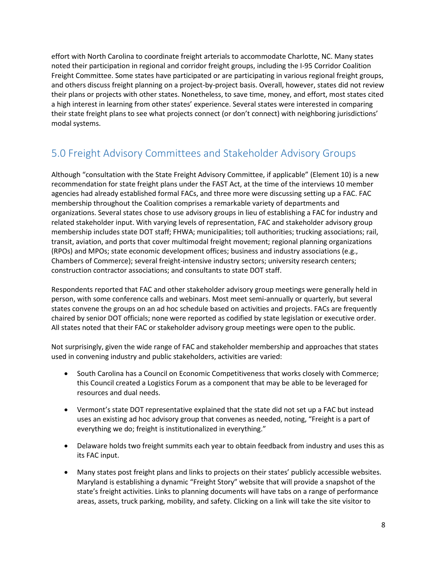effort with North Carolina to coordinate freight arterials to accommodate Charlotte, NC. Many states noted their participation in regional and corridor freight groups, including the I-95 Corridor Coalition Freight Committee. Some states have participated or are participating in various regional freight groups, and others discuss freight planning on a project-by-project basis. Overall, however, states did not review their plans or projects with other states. Nonetheless, to save time, money, and effort, most states cited a high interest in learning from other states' experience. Several states were interested in comparing their state freight plans to see what projects connect (or don't connect) with neighboring jurisdictions' modal systems.

### <span id="page-14-0"></span>5.0 Freight Advisory Committees and Stakeholder Advisory Groups

Although "consultation with the State Freight Advisory Committee, if applicable" (Element 10) is a new recommendation for state freight plans under the FAST Act, at the time of the interviews 10 member agencies had already established formal FACs, and three more were discussing setting up a FAC. FAC membership throughout the Coalition comprises a remarkable variety of departments and organizations. Several states chose to use advisory groups in lieu of establishing a FAC for industry and related stakeholder input. With varying levels of representation, FAC and stakeholder advisory group membership includes state DOT staff; FHWA; municipalities; toll authorities; trucking associations; rail, transit, aviation, and ports that cover multimodal freight movement; regional planning organizations (RPOs) and MPOs; state economic development offices; business and industry associations (e.g., Chambers of Commerce); several freight-intensive industry sectors; university research centers; construction contractor associations; and consultants to state DOT staff.

Respondents reported that FAC and other stakeholder advisory group meetings were generally held in person, with some conference calls and webinars. Most meet semi-annually or quarterly, but several states convene the groups on an ad hoc schedule based on activities and projects. FACs are frequently chaired by senior DOT officials; none were reported as codified by state legislation or executive order. All states noted that their FAC or stakeholder advisory group meetings were open to the public.

Not surprisingly, given the wide range of FAC and stakeholder membership and approaches that states used in convening industry and public stakeholders, activities are varied:

- South Carolina has a Council on Economic Competitiveness that works closely with Commerce; this Council created a Logistics Forum as a component that may be able to be leveraged for resources and dual needs.
- Vermont's state DOT representative explained that the state did not set up a FAC but instead uses an existing ad hoc advisory group that convenes as needed, noting, "Freight is a part of everything we do; freight is institutionalized in everything."
- Delaware holds two freight summits each year to obtain feedback from industry and uses this as its FAC input.
- Many states post freight plans and links to projects on their states' publicly accessible websites. Maryland is establishing a dynamic "Freight Story" website that will provide a snapshot of the state's freight activities. Links to planning documents will have tabs on a range of performance areas, assets, truck parking, mobility, and safety. Clicking on a link will take the site visitor to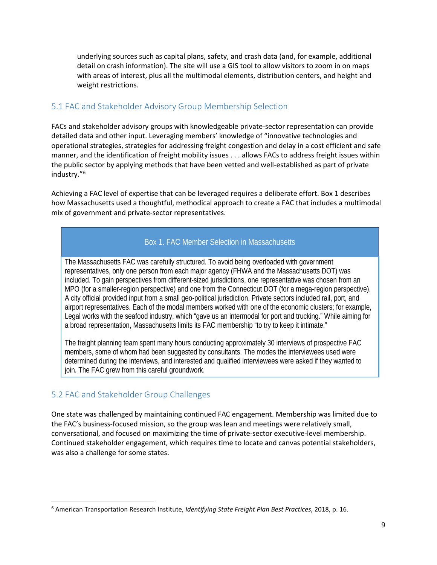underlying sources such as capital plans, safety, and crash data (and, for example, additional detail on crash information). The site will use a GIS tool to allow visitors to zoom in on maps with areas of interest, plus all the multimodal elements, distribution centers, and height and weight restrictions.

### <span id="page-15-0"></span>5.1 FAC and Stakeholder Advisory Group Membership Selection

FACs and stakeholder advisory groups with knowledgeable private-sector representation can provide detailed data and other input. Leveraging members' knowledge of "innovative technologies and operational strategies, strategies for addressing freight congestion and delay in a cost efficient and safe manner, and the identification of freight mobility issues . . . allows FACs to address freight issues within the public sector by applying methods that have been vetted and well-established as part of private industry."[6](#page-15-2)

Achieving a FAC level of expertise that can be leveraged requires a deliberate effort. Box 1 describes how Massachusetts used a thoughtful, methodical approach to create a FAC that includes a multimodal mix of government and private-sector representatives.

### Box 1. FAC Member Selection in Massachusetts

The Massachusetts FAC was carefully structured. To avoid being overloaded with government representatives, only one person from each major agency (FHWA and the Massachusetts DOT) was included. To gain perspectives from different-sized jurisdictions, one representative was chosen from an MPO (for a smaller-region perspective) and one from the Connecticut DOT (for a mega-region perspective). A city official provided input from a small geo-political jurisdiction. Private sectors included rail, port, and airport representatives. Each of the modal members worked with one of the economic clusters; for example, Legal works with the seafood industry, which "gave us an intermodal for port and trucking." While aiming for a broad representation, Massachusetts limits its FAC membership "to try to keep it intimate."

The freight planning team spent many hours conducting approximately 30 interviews of prospective FAC members, some of whom had been suggested by consultants. The modes the interviewees used were determined during the interviews, and interested and qualified interviewees were asked if they wanted to join. The FAC grew from this careful groundwork.

### <span id="page-15-1"></span>5.2 FAC and Stakeholder Group Challenges

One state was challenged by maintaining continued FAC engagement. Membership was limited due to the FAC's business-focused mission, so the group was lean and meetings were relatively small, conversational, and focused on maximizing the time of private-sector executive-level membership. Continued stakeholder engagement, which requires time to locate and canvas potential stakeholders, was also a challenge for some states.

<span id="page-15-2"></span> <sup>6</sup> American Transportation Research Institute, *Identifying State Freight Plan Best Practices*, 2018, p. 16.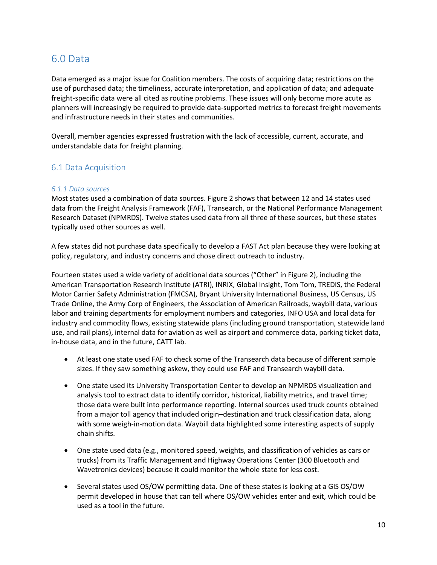### <span id="page-16-0"></span>6.0 Data

Data emerged as a major issue for Coalition members. The costs of acquiring data; restrictions on the use of purchased data; the timeliness, accurate interpretation, and application of data; and adequate freight-specific data were all cited as routine problems. These issues will only become more acute as planners will increasingly be required to provide data-supported metrics to forecast freight movements and infrastructure needs in their states and communities.

Overall, member agencies expressed frustration with the lack of accessible, current, accurate, and understandable data for freight planning.

### <span id="page-16-1"></span>6.1 Data Acquisition

#### <span id="page-16-2"></span>*6.1.1 Data sources*

Most states used a combination of data sources. Figure 2 shows that between 12 and 14 states used data from the Freight Analysis Framework (FAF), Transearch, or the National Performance Management Research Dataset (NPMRDS). Twelve states used data from all three of these sources, but these states typically used other sources as well.

A few states did not purchase data specifically to develop a FAST Act plan because they were looking at policy, regulatory, and industry concerns and chose direct outreach to industry.

Fourteen states used a wide variety of additional data sources ("Other" in Figure 2), including the American Transportation Research Institute (ATRI), INRIX, Global Insight, Tom Tom, TREDIS, the Federal Motor Carrier Safety Administration (FMCSA), Bryant University International Business, US Census, US Trade Online, the Army Corp of Engineers, the Association of American Railroads, waybill data, various labor and training departments for employment numbers and categories, INFO USA and local data for industry and commodity flows, existing statewide plans (including ground transportation, statewide land use, and rail plans), internal data for aviation as well as airport and commerce data, parking ticket data, in-house data, and in the future, CATT lab.

- At least one state used FAF to check some of the Transearch data because of different sample sizes. If they saw something askew, they could use FAF and Transearch waybill data.
- One state used its University Transportation Center to develop an NPMRDS visualization and analysis tool to extract data to identify corridor, historical, liability metrics, and travel time; those data were built into performance reporting. Internal sources used truck counts obtained from a major toll agency that included origin–destination and truck classification data, along with some weigh-in-motion data. Waybill data highlighted some interesting aspects of supply chain shifts.
- One state used data (e.g., monitored speed, weights, and classification of vehicles as cars or trucks) from its Traffic Management and Highway Operations Center (300 Bluetooth and Wavetronics devices) because it could monitor the whole state for less cost.
- Several states used OS/OW permitting data. One of these states is looking at a GIS OS/OW permit developed in house that can tell where OS/OW vehicles enter and exit, which could be used as a tool in the future.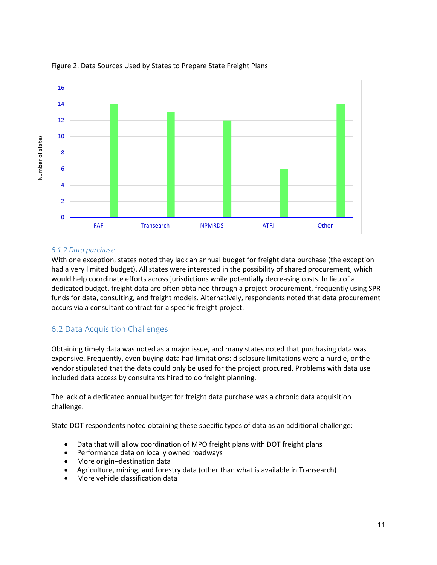

#### Figure 2. Data Sources Used by States to Prepare State Freight Plans

#### <span id="page-17-0"></span>*6.1.2 Data purchase*

With one exception, states noted they lack an annual budget for freight data purchase (the exception had a very limited budget). All states were interested in the possibility of shared procurement, which would help coordinate efforts across jurisdictions while potentially decreasing costs. In lieu of a dedicated budget, freight data are often obtained through a project procurement, frequently using SPR funds for data, consulting, and freight models. Alternatively, respondents noted that data procurement occurs via a consultant contract for a specific freight project.

### <span id="page-17-1"></span>6.2 Data Acquisition Challenges

Obtaining timely data was noted as a major issue, and many states noted that purchasing data was expensive. Frequently, even buying data had limitations: disclosure limitations were a hurdle, or the vendor stipulated that the data could only be used for the project procured. Problems with data use included data access by consultants hired to do freight planning.

The lack of a dedicated annual budget for freight data purchase was a chronic data acquisition challenge.

State DOT respondents noted obtaining these specific types of data as an additional challenge:

- Data that will allow coordination of MPO freight plans with DOT freight plans
- Performance data on locally owned roadways
- More origin–destination data
- Agriculture, mining, and forestry data (other than what is available in Transearch)
- More vehicle classification data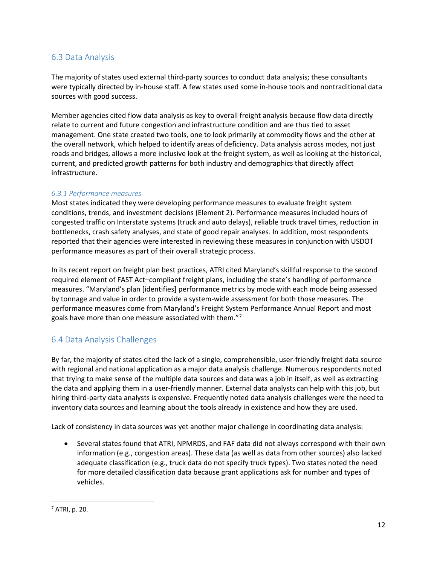### <span id="page-18-0"></span>6.3 Data Analysis

The majority of states used external third-party sources to conduct data analysis; these consultants were typically directed by in-house staff. A few states used some in-house tools and nontraditional data sources with good success.

Member agencies cited flow data analysis as key to overall freight analysis because flow data directly relate to current and future congestion and infrastructure condition and are thus tied to asset management. One state created two tools, one to look primarily at commodity flows and the other at the overall network, which helped to identify areas of deficiency. Data analysis across modes, not just roads and bridges, allows a more inclusive look at the freight system, as well as looking at the historical, current, and predicted growth patterns for both industry and demographics that directly affect infrastructure.

#### <span id="page-18-1"></span>*6.3.1 Performance measures*

Most states indicated they were developing performance measures to evaluate freight system conditions, trends, and investment decisions (Element 2). Performance measures included hours of congested traffic on Interstate systems (truck and auto delays), reliable truck travel times, reduction in bottlenecks, crash safety analyses, and state of good repair analyses. In addition, most respondents reported that their agencies were interested in reviewing these measures in conjunction with USDOT performance measures as part of their overall strategic process.

In its recent report on freight plan best practices, ATRI cited Maryland's skillful response to the second required element of FAST Act–compliant freight plans, including the state's handling of performance measures. "Maryland's plan [identifies] performance metrics by mode with each mode being assessed by tonnage and value in order to provide a system-wide assessment for both those measures. The performance measures come from Maryland's Freight System Performance Annual Report and most goals have more than one measure associated with them."[7](#page-18-3)

### <span id="page-18-2"></span>6.4 Data Analysis Challenges

By far, the majority of states cited the lack of a single, comprehensible, user-friendly freight data source with regional and national application as a major data analysis challenge. Numerous respondents noted that trying to make sense of the multiple data sources and data was a job in itself, as well as extracting the data and applying them in a user-friendly manner. External data analysts can help with this job, but hiring third-party data analysts is expensive. Frequently noted data analysis challenges were the need to inventory data sources and learning about the tools already in existence and how they are used.

Lack of consistency in data sources was yet another major challenge in coordinating data analysis:

• Several states found that ATRI, NPMRDS, and FAF data did not always correspond with their own information (e.g., congestion areas). These data (as well as data from other sources) also lacked adequate classification (e.g., truck data do not specify truck types). Two states noted the need for more detailed classification data because grant applications ask for number and types of vehicles.

<span id="page-18-3"></span> $<sup>7</sup>$  ATRI, p. 20.</sup>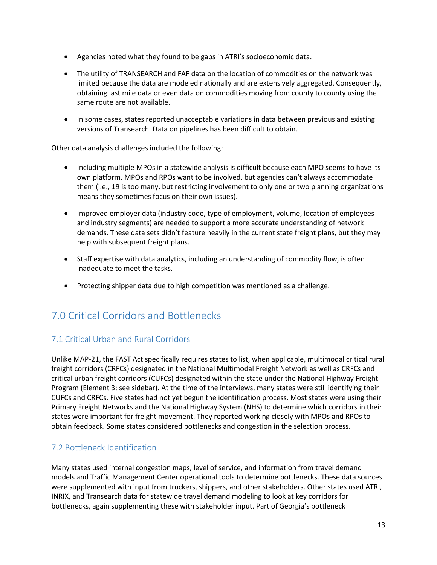- Agencies noted what they found to be gaps in ATRI's socioeconomic data.
- The utility of TRANSEARCH and FAF data on the location of commodities on the network was limited because the data are modeled nationally and are extensively aggregated. Consequently, obtaining last mile data or even data on commodities moving from county to county using the same route are not available.
- In some cases, states reported unacceptable variations in data between previous and existing versions of Transearch. Data on pipelines has been difficult to obtain.

Other data analysis challenges included the following:

- Including multiple MPOs in a statewide analysis is difficult because each MPO seems to have its own platform. MPOs and RPOs want to be involved, but agencies can't always accommodate them (i.e., 19 is too many, but restricting involvement to only one or two planning organizations means they sometimes focus on their own issues).
- Improved employer data (industry code, type of employment, volume, location of employees and industry segments) are needed to support a more accurate understanding of network demands. These data sets didn't feature heavily in the current state freight plans, but they may help with subsequent freight plans.
- Staff expertise with data analytics, including an understanding of commodity flow, is often inadequate to meet the tasks.
- Protecting shipper data due to high competition was mentioned as a challenge.

## <span id="page-19-0"></span>7.0 Critical Corridors and Bottlenecks

### <span id="page-19-1"></span>7.1 Critical Urban and Rural Corridors

Unlike MAP-21, the FAST Act specifically requires states to list, when applicable, multimodal critical rural freight corridors (CRFCs) designated in the National Multimodal Freight Network as well as CRFCs and critical urban freight corridors (CUFCs) designated within the state under the National Highway Freight Program (Element 3; see sidebar). At the time of the interviews, many states were still identifying their CUFCs and CRFCs. Five states had not yet begun the identification process. Most states were using their Primary Freight Networks and the National Highway System (NHS) to determine which corridors in their states were important for freight movement. They reported working closely with MPOs and RPOs to obtain feedback. Some states considered bottlenecks and congestion in the selection process.

### <span id="page-19-2"></span>7.2 Bottleneck Identification

Many states used internal congestion maps, level of service, and information from travel demand models and Traffic Management Center operational tools to determine bottlenecks. These data sources were supplemented with input from truckers, shippers, and other stakeholders. Other states used ATRI, INRIX, and Transearch data for statewide travel demand modeling to look at key corridors for bottlenecks, again supplementing these with stakeholder input. Part of Georgia's bottleneck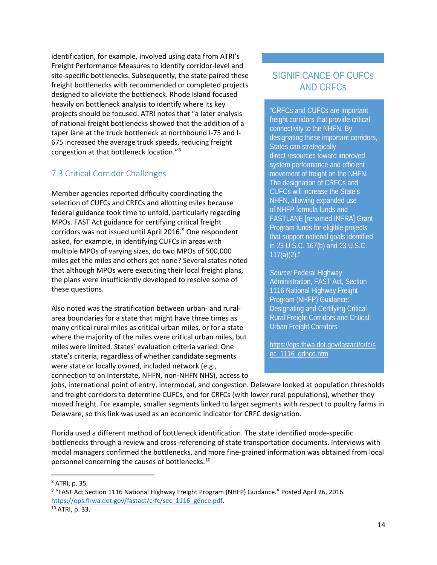identification, for example, involved using data from ATRI's Freight Performance Measures to identify corridor-level and site-specific bottlenecks. Subsequently, the state paired these freight bottlenecks with recommended or completed projects designed to alleviate the bottleneck. Rhode Island focused heavily on bottleneck analysis to identify where its key projects should be focused. ATRI notes that "a later analysis of national freight bottlenecks showed that the addition of a taper lane at the truck bottleneck at northbound I-75 and I-675 increased the average truck speeds, reducing freight congestion at that bottleneck location."[8](#page-20-1)

### <span id="page-20-0"></span>7.3 Critical Corridor Challenges

Member agencies reported difficulty coordinating the selection of CUFCs and CRFCs and allotting miles because federal guidance took time to unfold, particularly regarding MPOs. FAST Act guidance for certifying critical freight corridors was not issued until April 2016.<sup>[9](#page-20-2)</sup> One respondent asked, for example, in identifying CUFCs in areas with multiple MPOs of varying sizes, do two MPOs of 500,000 miles get the miles and others get none? Several states noted that although MPOs were executing their local freight plans, the plans were insufficiently developed to resolve some of these questions.

Also noted was the stratification between urban- and ruralarea boundaries for a state that might have three times as many critical rural miles as critical urban miles, or for a state where the majority of the miles were critical urban miles, but miles were limited. States' evaluation criteria varied. One state's criteria, regardless of whether candidate segments were state or locally owned, included network (e.g., connection to an Interstate, NHFN, non-NHFN NHS), access to

### SIGNIFICANCE OF CUFCs AND CRFCs

"CRFCs and CUFCs are important freight corridors that provide critical connectivity to the NHFN. By designating these important corridors, States can strategically direct resources toward improved system performance and efficient movement of freight on the NHFN. The designation of CRFCs and CUFCs will increase the State's NHFN, allowing expanded use of NHFP formula funds and FASTLANE [renamed INFRA] Grant Program funds for eligible projects that support national goals identified in 23 U.S.C. 167(b) and 23 U.S.C.  $117(a)(2)$ ."

*Source:* Federal Highway Administration, FAST Act, Section 1116 National Highway Freight Program (NHFP) Guidance: Designating and Certifying Critical Rural Freight Corridors and Critical Urban Freight Corridors

[https://ops.fhwa.dot.gov/fastact/crfc/s](https://ops.fhwa.dot.gov/fastact/crfc/sec_1116_gdnce.htm) [ec\\_1116\\_gdnce.htm](https://ops.fhwa.dot.gov/fastact/crfc/sec_1116_gdnce.htm)

jobs, international point of entry, intermodal, and congestion. Delaware looked at population thresholds and freight corridors to determine CUFCs, and for CRFCs (with lower rural populations), whether they moved freight. For example, smaller segments linked to larger segments with respect to poultry farms in Delaware, so this link was used as an economic indicator for CRFC designation.

Florida used a different method of bottleneck identification. The state identified mode-specific bottlenecks through a review and cross-referencing of state transportation documents. Interviews with modal managers confirmed the bottlenecks, and more fine-grained information was obtained from local personnel concerning the causes of bottlenecks.[10](#page-20-3)

<span id="page-20-1"></span> <sup>8</sup> ATRI, p. 35.

<span id="page-20-2"></span><sup>9</sup> "FAST Act Section 1116 National Highway Freight Program (NHFP) Guidance." Posted April 26, 2016. [https://ops.fhwa.dot.gov/fastact/crfc/sec\\_1116\\_gdnce.pdf.](https://ops.fhwa.dot.gov/fastact/crfc/sec_1116_gdnce.pdf)

<span id="page-20-3"></span><sup>10</sup> ATRI, p. 33.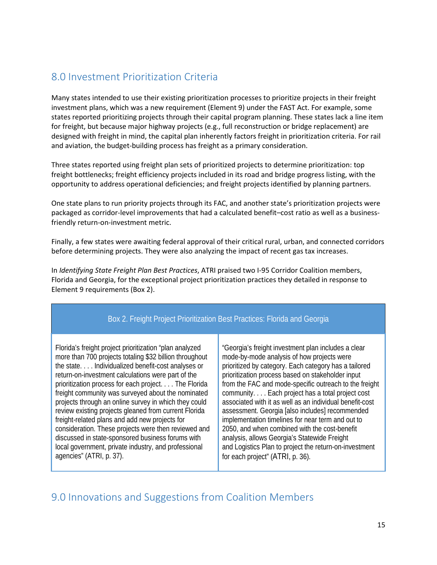# <span id="page-21-0"></span>8.0 Investment Prioritization Criteria

Many states intended to use their existing prioritization processes to prioritize projects in their freight investment plans, which was a new requirement (Element 9) under the FAST Act. For example, some states reported prioritizing projects through their capital program planning. These states lack a line item for freight, but because major highway projects (e.g., full reconstruction or bridge replacement) are designed with freight in mind, the capital plan inherently factors freight in prioritization criteria. For rail and aviation, the budget-building process has freight as a primary consideration.

Three states reported using freight plan sets of prioritized projects to determine prioritization: top freight bottlenecks; freight efficiency projects included in its road and bridge progress listing, with the opportunity to address operational deficiencies; and freight projects identified by planning partners.

One state plans to run priority projects through its FAC, and another state's prioritization projects were packaged as corridor-level improvements that had a calculated benefit–cost ratio as well as a businessfriendly return-on-investment metric.

Finally, a few states were awaiting federal approval of their critical rural, urban, and connected corridors before determining projects. They were also analyzing the impact of recent gas tax increases.

In *Identifying State Freight Plan Best Practices*, ATRI praised two I-95 Corridor Coalition members, Florida and Georgia, for the exceptional project prioritization practices they detailed in response to Element 9 requirements (Box 2).

### Box 2. Freight Project Prioritization Best Practices: Florida and Georgia

Florida's freight project prioritization "plan analyzed more than 700 projects totaling \$32 billion throughout the state. . . . Individualized benefit-cost analyses or return-on-investment calculations were part of the prioritization process for each project. . . . The Florida freight community was surveyed about the nominated projects through an online survey in which they could review existing projects gleaned from current Florida freight-related plans and add new projects for consideration. These projects were then reviewed and discussed in state-sponsored business forums with local government, private industry, and professional agencies" (ATRI, p. 37).

"Georgia's freight investment plan includes a clear mode-by-mode analysis of how projects were prioritized by category. Each category has a tailored prioritization process based on stakeholder input from the FAC and mode-specific outreach to the freight community. . . . Each project has a total project cost associated with it as well as an individual benefit-cost assessment. Georgia [also includes] recommended implementation timelines for near term and out to 2050, and when combined with the cost-benefit analysis, allows Georgia's Statewide Freight and Logistics Plan to project the return-on-investment for each project" (ATRI, p. 36).

### <span id="page-21-1"></span>9.0 Innovations and Suggestions from Coalition Members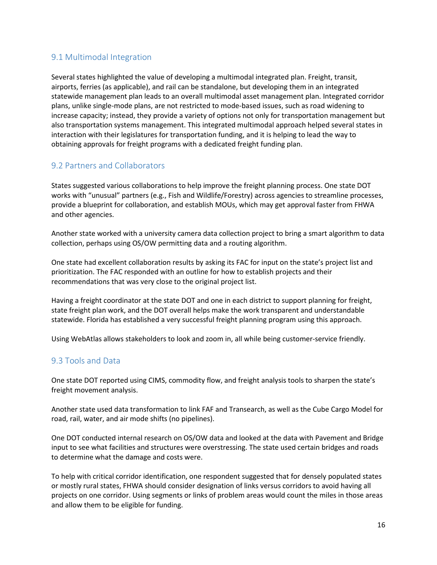### <span id="page-22-0"></span>9.1 Multimodal Integration

Several states highlighted the value of developing a multimodal integrated plan. Freight, transit, airports, ferries (as applicable), and rail can be standalone, but developing them in an integrated statewide management plan leads to an overall multimodal asset management plan. Integrated corridor plans, unlike single-mode plans, are not restricted to mode-based issues, such as road widening to increase capacity; instead, they provide a variety of options not only for transportation management but also transportation systems management. This integrated multimodal approach helped several states in interaction with their legislatures for transportation funding, and it is helping to lead the way to obtaining approvals for freight programs with a dedicated freight funding plan.

### <span id="page-22-1"></span>9.2 Partners and Collaborators

States suggested various collaborations to help improve the freight planning process. One state DOT works with "unusual" partners (e.g., Fish and Wildlife/Forestry) across agencies to streamline processes, provide a blueprint for collaboration, and establish MOUs, which may get approval faster from FHWA and other agencies.

Another state worked with a university camera data collection project to bring a smart algorithm to data collection, perhaps using OS/OW permitting data and a routing algorithm.

One state had excellent collaboration results by asking its FAC for input on the state's project list and prioritization. The FAC responded with an outline for how to establish projects and their recommendations that was very close to the original project list.

Having a freight coordinator at the state DOT and one in each district to support planning for freight, state freight plan work, and the DOT overall helps make the work transparent and understandable statewide. Florida has established a very successful freight planning program using this approach.

Using WebAtlas allows stakeholders to look and zoom in, all while being customer-service friendly.

### <span id="page-22-2"></span>9.3 Tools and Data

One state DOT reported using CIMS, commodity flow, and freight analysis tools to sharpen the state's freight movement analysis.

Another state used data transformation to link FAF and Transearch, as well as the Cube Cargo Model for road, rail, water, and air mode shifts (no pipelines).

One DOT conducted internal research on OS/OW data and looked at the data with Pavement and Bridge input to see what facilities and structures were overstressing. The state used certain bridges and roads to determine what the damage and costs were.

To help with critical corridor identification, one respondent suggested that for densely populated states or mostly rural states, FHWA should consider designation of links versus corridors to avoid having all projects on one corridor. Using segments or links of problem areas would count the miles in those areas and allow them to be eligible for funding.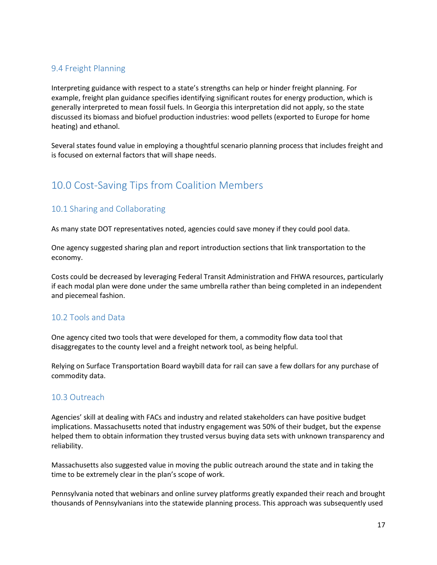### <span id="page-23-0"></span>9.4 Freight Planning

Interpreting guidance with respect to a state's strengths can help or hinder freight planning. For example, freight plan guidance specifies identifying significant routes for energy production, which is generally interpreted to mean fossil fuels. In Georgia this interpretation did not apply, so the state discussed its biomass and biofuel production industries: wood pellets (exported to Europe for home heating) and ethanol.

Several states found value in employing a thoughtful scenario planning process that includes freight and is focused on external factors that will shape needs.

# <span id="page-23-1"></span>10.0 Cost-Saving Tips from Coalition Members

### <span id="page-23-2"></span>10.1 Sharing and Collaborating

As many state DOT representatives noted, agencies could save money if they could pool data.

One agency suggested sharing plan and report introduction sections that link transportation to the economy.

Costs could be decreased by leveraging Federal Transit Administration and FHWA resources, particularly if each modal plan were done under the same umbrella rather than being completed in an independent and piecemeal fashion.

### <span id="page-23-3"></span>10.2 Tools and Data

One agency cited two tools that were developed for them, a commodity flow data tool that disaggregates to the county level and a freight network tool, as being helpful.

Relying on Surface Transportation Board waybill data for rail can save a few dollars for any purchase of commodity data.

#### <span id="page-23-4"></span>10.3 Outreach

Agencies' skill at dealing with FACs and industry and related stakeholders can have positive budget implications. Massachusetts noted that industry engagement was 50% of their budget, but the expense helped them to obtain information they trusted versus buying data sets with unknown transparency and reliability.

Massachusetts also suggested value in moving the public outreach around the state and in taking the time to be extremely clear in the plan's scope of work.

Pennsylvania noted that webinars and online survey platforms greatly expanded their reach and brought thousands of Pennsylvanians into the statewide planning process. This approach was subsequently used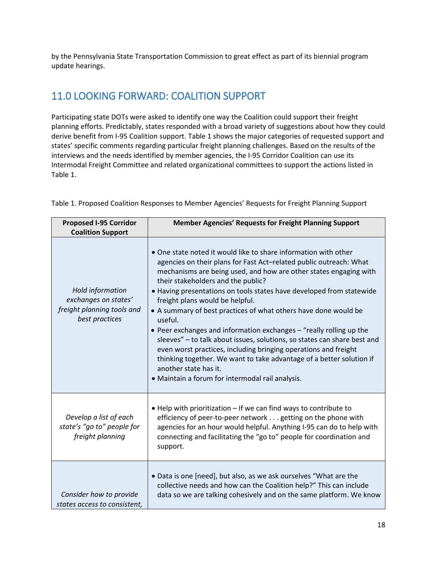by the Pennsylvania State Transportation Commission to great effect as part of its biennial program update hearings.

# <span id="page-24-0"></span>11.0 LOOKING FORWARD: COALITION SUPPORT

Participating state DOTs were asked to identify one way the Coalition could support their freight planning efforts. Predictably, states responded with a broad variety of suggestions about how they could derive benefit from I-95 Coalition support. Table 1 shows the major categories of requested support and states' specific comments regarding particular freight planning challenges. Based on the results of the interviews and the needs identified by member agencies, the I-95 Corridor Coalition can use its Intermodal Freight Committee and related organizational committees to support the actions listed in Table 1.

| <b>Proposed I-95 Corridor</b><br><b>Coalition Support</b>                                | <b>Member Agencies' Requests for Freight Planning Support</b>                                                                                                                                                                                                                                                                                                                                                                                                                                                                                                                                                                                                                                                                                                                                                        |
|------------------------------------------------------------------------------------------|----------------------------------------------------------------------------------------------------------------------------------------------------------------------------------------------------------------------------------------------------------------------------------------------------------------------------------------------------------------------------------------------------------------------------------------------------------------------------------------------------------------------------------------------------------------------------------------------------------------------------------------------------------------------------------------------------------------------------------------------------------------------------------------------------------------------|
| Hold information<br>exchanges on states'<br>freight planning tools and<br>best practices | • One state noted it would like to share information with other<br>agencies on their plans for Fast Act-related public outreach: What<br>mechanisms are being used, and how are other states engaging with<br>their stakeholders and the public?<br>• Having presentations on tools states have developed from statewide<br>freight plans would be helpful.<br>• A summary of best practices of what others have done would be<br>useful.<br>• Peer exchanges and information exchanges - "really rolling up the<br>sleeves" - to talk about issues, solutions, so states can share best and<br>even worst practices, including bringing operations and freight<br>thinking together. We want to take advantage of a better solution if<br>another state has it.<br>• Maintain a forum for intermodal rail analysis. |
| Develop a list of each<br>state's "go to" people for<br>freight planning                 | . Help with prioritization - If we can find ways to contribute to<br>efficiency of peer-to-peer network getting on the phone with<br>agencies for an hour would helpful. Anything I-95 can do to help with<br>connecting and facilitating the "go to" people for coordination and<br>support.                                                                                                                                                                                                                                                                                                                                                                                                                                                                                                                        |
| Consider how to provide<br>states access to consistent,                                  | • Data is one [need], but also, as we ask ourselves "What are the<br>collective needs and how can the Coalition help?" This can include<br>data so we are talking cohesively and on the same platform. We know                                                                                                                                                                                                                                                                                                                                                                                                                                                                                                                                                                                                       |

Table 1. Proposed Coalition Responses to Member Agencies' Requests for Freight Planning Support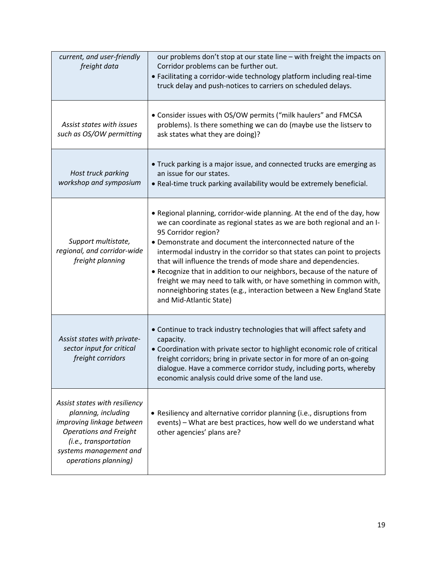| current, and user-friendly<br>freight data                                                                                                                                                    | our problems don't stop at our state line - with freight the impacts on<br>Corridor problems can be further out.<br>• Facilitating a corridor-wide technology platform including real-time<br>truck delay and push-notices to carriers on scheduled delays.                                                                                                                                                                                                                                                                                                                                                                                |
|-----------------------------------------------------------------------------------------------------------------------------------------------------------------------------------------------|--------------------------------------------------------------------------------------------------------------------------------------------------------------------------------------------------------------------------------------------------------------------------------------------------------------------------------------------------------------------------------------------------------------------------------------------------------------------------------------------------------------------------------------------------------------------------------------------------------------------------------------------|
| Assist states with issues<br>such as OS/OW permitting                                                                                                                                         | • Consider issues with OS/OW permits ("milk haulers" and FMCSA<br>problems). Is there something we can do (maybe use the listserv to<br>ask states what they are doing)?                                                                                                                                                                                                                                                                                                                                                                                                                                                                   |
| Host truck parking<br>workshop and symposium                                                                                                                                                  | • Truck parking is a major issue, and connected trucks are emerging as<br>an issue for our states.<br>. Real-time truck parking availability would be extremely beneficial.                                                                                                                                                                                                                                                                                                                                                                                                                                                                |
| Support multistate,<br>regional, and corridor-wide<br>freight planning                                                                                                                        | . Regional planning, corridor-wide planning. At the end of the day, how<br>we can coordinate as regional states as we are both regional and an I-<br>95 Corridor region?<br>• Demonstrate and document the interconnected nature of the<br>intermodal industry in the corridor so that states can point to projects<br>that will influence the trends of mode share and dependencies.<br>• Recognize that in addition to our neighbors, because of the nature of<br>freight we may need to talk with, or have something in common with,<br>nonneighboring states (e.g., interaction between a New England State<br>and Mid-Atlantic State) |
| Assist states with private-<br>sector input for critical<br>freight corridors                                                                                                                 | • Continue to track industry technologies that will affect safety and<br>capacity.<br>• Coordination with private sector to highlight economic role of critical<br>freight corridors; bring in private sector in for more of an on-going<br>dialogue. Have a commerce corridor study, including ports, whereby<br>economic analysis could drive some of the land use.                                                                                                                                                                                                                                                                      |
| Assist states with resiliency<br>planning, including<br>improving linkage between<br><b>Operations and Freight</b><br>(i.e., transportation<br>systems management and<br>operations planning) | • Resiliency and alternative corridor planning (i.e., disruptions from<br>events) - What are best practices, how well do we understand what<br>other agencies' plans are?                                                                                                                                                                                                                                                                                                                                                                                                                                                                  |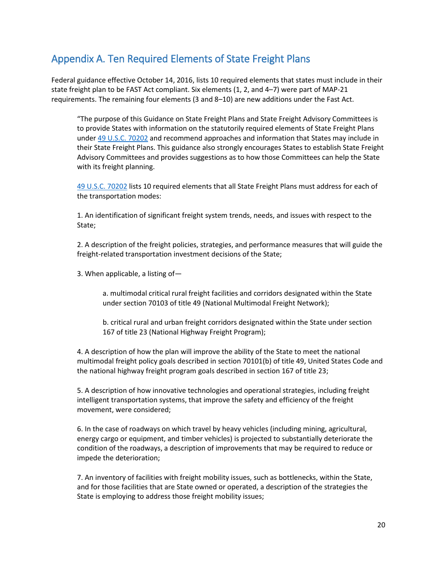# <span id="page-26-0"></span>Appendix A. Ten Required Elements of State Freight Plans

Federal guidance effective October 14, 2016, lists 10 required elements that states must include in their state freight plan to be FAST Act compliant. Six elements (1, 2, and 4–7) were part of MAP-21 requirements. The remaining four elements (3 and 8–10) are new additions under the Fast Act.

"The purpose of this Guidance on State Freight Plans and State Freight Advisory Committees is to provide States with information on the statutorily required elements of State Freight Plans under [49 U.S.C. 70202](https://api.fdsys.gov/link?collection=uscode&title=49&year=mostrecent§ion=70202&type=usc&link-type=html) and recommend approaches and information that States may include in their State Freight Plans. This guidance also strongly encourages States to establish State Freight Advisory Committees and provides suggestions as to how those Committees can help the State with its freight planning.

[49 U.S.C. 70202](https://api.fdsys.gov/link?collection=uscode&title=49&year=mostrecent§ion=70202&type=usc&link-type=html) lists 10 required elements that all State Freight Plans must address for each of the transportation modes:

1. An identification of significant freight system trends, needs, and issues with respect to the State;

2. A description of the freight policies, strategies, and performance measures that will guide the freight-related transportation investment decisions of the State;

3. When applicable, a listing of—

a. multimodal critical rural freight facilities and corridors designated within the State under section 70103 of title 49 (National Multimodal Freight Network);

b. critical rural and urban freight corridors designated within the State under section 167 of title 23 (National Highway Freight Program);

4. A description of how the plan will improve the ability of the State to meet the national multimodal freight policy goals described in section 70101(b) of title 49, United States Code and the national highway freight program goals described in section 167 of title 23;

5. A description of how innovative technologies and operational strategies, including freight intelligent transportation systems, that improve the safety and efficiency of the freight movement, were considered;

6. In the case of roadways on which travel by heavy vehicles (including mining, agricultural, energy cargo or equipment, and timber vehicles) is projected to substantially deteriorate the condition of the roadways, a description of improvements that may be required to reduce or impede the deterioration;

7. An inventory of facilities with freight mobility issues, such as bottlenecks, within the State, and for those facilities that are State owned or operated, a description of the strategies the State is employing to address those freight mobility issues;